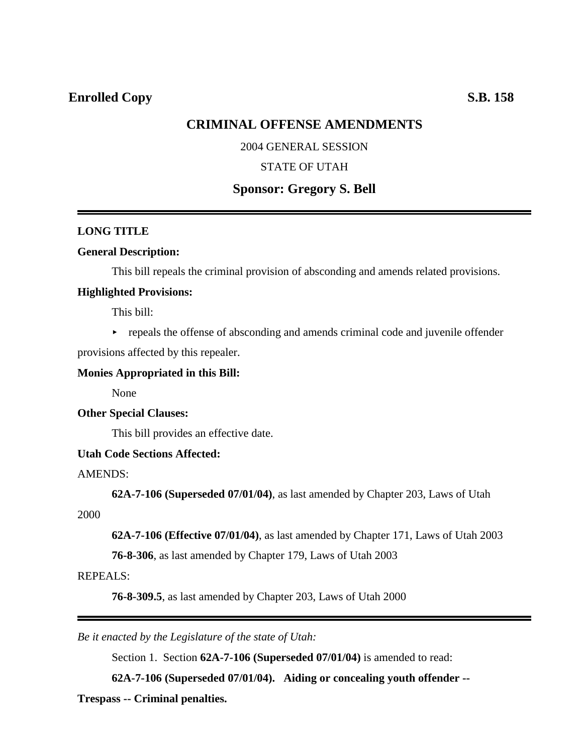## **Enrolled Copy** S.B. 158

## **CRIMINAL OFFENSE AMENDMENTS**

### 2004 GENERAL SESSION

## STATE OF UTAH

# **Sponsor: Gregory S. Bell**

### **LONG TITLE**

### **General Description:**

This bill repeals the criminal provision of absconding and amends related provisions.

#### **Highlighted Provisions:**

This bill:

 $\rightarrow$  repeals the offense of absconding and amends criminal code and juvenile offender

provisions affected by this repealer.

### **Monies Appropriated in this Bill:**

None

#### **Other Special Clauses:**

This bill provides an effective date.

### **Utah Code Sections Affected:**

AMENDS:

**62A-7-106 (Superseded 07/01/04)**, as last amended by Chapter 203, Laws of Utah

2000

**62A-7-106 (Effective 07/01/04)**, as last amended by Chapter 171, Laws of Utah 2003

**76-8-306**, as last amended by Chapter 179, Laws of Utah 2003

#### REPEALS:

**76-8-309.5**, as last amended by Chapter 203, Laws of Utah 2000

*Be it enacted by the Legislature of the state of Utah:*

Section 1. Section **62A-7-106 (Superseded 07/01/04)** is amended to read:

**62A-7-106 (Superseded 07/01/04). Aiding or concealing youth offender --**

**Trespass -- Criminal penalties.**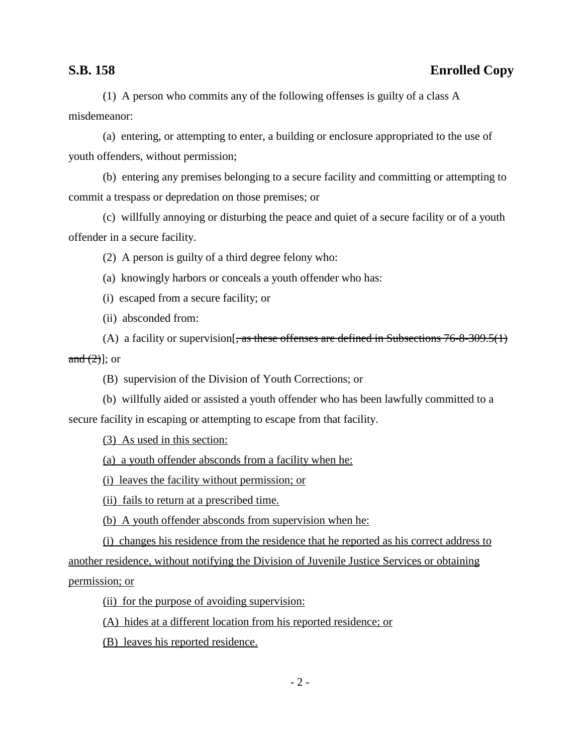# **S.B. 158 Enrolled Copy**

(1) A person who commits any of the following offenses is guilty of a class A misdemeanor:

(a) entering, or attempting to enter, a building or enclosure appropriated to the use of youth offenders, without permission;

(b) entering any premises belonging to a secure facility and committing or attempting to commit a trespass or depredation on those premises; or

(c) willfully annoying or disturbing the peace and quiet of a secure facility or of a youth offender in a secure facility.

(2) A person is guilty of a third degree felony who:

(a) knowingly harbors or conceals a youth offender who has:

(i) escaped from a secure facility; or

(ii) absconded from:

(A) a facility or supervision  $\frac{1}{2}$ , as these offenses are defined in Subsections 76-8-309.5(1) and  $(2)$ ]; or

(B) supervision of the Division of Youth Corrections; or

(b) willfully aided or assisted a youth offender who has been lawfully committed to a secure facility in escaping or attempting to escape from that facility.

(3) As used in this section:

(a) a youth offender absconds from a facility when he:

(i) leaves the facility without permission; or

(ii) fails to return at a prescribed time.

(b) A youth offender absconds from supervision when he:

(i) changes his residence from the residence that he reported as his correct address to another residence, without notifying the Division of Juvenile Justice Services or obtaining permission; or

(ii) for the purpose of avoiding supervision:

(A) hides at a different location from his reported residence; or

(B) leaves his reported residence.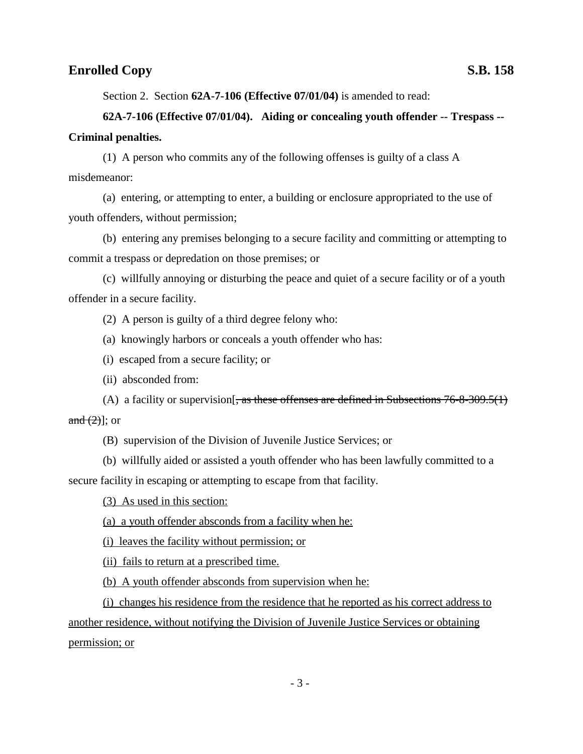## **Enrolled Copy** S.B. 158

Section 2. Section **62A-7-106 (Effective 07/01/04)** is amended to read:

# **62A-7-106 (Effective 07/01/04). Aiding or concealing youth offender -- Trespass -- Criminal penalties.**

(1) A person who commits any of the following offenses is guilty of a class A misdemeanor:

(a) entering, or attempting to enter, a building or enclosure appropriated to the use of youth offenders, without permission;

(b) entering any premises belonging to a secure facility and committing or attempting to commit a trespass or depredation on those premises; or

(c) willfully annoying or disturbing the peace and quiet of a secure facility or of a youth offender in a secure facility.

(2) A person is guilty of a third degree felony who:

(a) knowingly harbors or conceals a youth offender who has:

- (i) escaped from a secure facility; or
- (ii) absconded from:

(A) a facility or supervision  $\frac{1}{x}$ , as these offenses are defined in Subsections 76-8-309.5(1) and  $(2)$ ]; or

(B) supervision of the Division of Juvenile Justice Services; or

(b) willfully aided or assisted a youth offender who has been lawfully committed to a

secure facility in escaping or attempting to escape from that facility.

(3) As used in this section:

(a) a youth offender absconds from a facility when he:

(i) leaves the facility without permission; or

(ii) fails to return at a prescribed time.

(b) A youth offender absconds from supervision when he:

(i) changes his residence from the residence that he reported as his correct address to another residence, without notifying the Division of Juvenile Justice Services or obtaining permission; or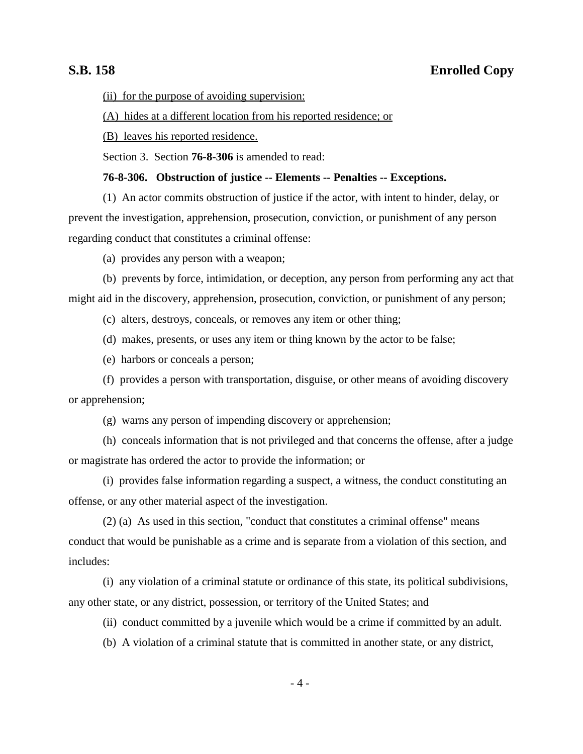# **S.B. 158 Enrolled Copy**

(ii) for the purpose of avoiding supervision:

(A) hides at a different location from his reported residence; or

(B) leaves his reported residence.

Section 3. Section **76-8-306** is amended to read:

## **76-8-306. Obstruction of justice -- Elements -- Penalties -- Exceptions.**

(1) An actor commits obstruction of justice if the actor, with intent to hinder, delay, or prevent the investigation, apprehension, prosecution, conviction, or punishment of any person regarding conduct that constitutes a criminal offense:

(a) provides any person with a weapon;

(b) prevents by force, intimidation, or deception, any person from performing any act that might aid in the discovery, apprehension, prosecution, conviction, or punishment of any person;

(c) alters, destroys, conceals, or removes any item or other thing;

(d) makes, presents, or uses any item or thing known by the actor to be false;

(e) harbors or conceals a person;

(f) provides a person with transportation, disguise, or other means of avoiding discovery or apprehension;

(g) warns any person of impending discovery or apprehension;

(h) conceals information that is not privileged and that concerns the offense, after a judge or magistrate has ordered the actor to provide the information; or

(i) provides false information regarding a suspect, a witness, the conduct constituting an offense, or any other material aspect of the investigation.

(2) (a) As used in this section, "conduct that constitutes a criminal offense" means conduct that would be punishable as a crime and is separate from a violation of this section, and includes:

(i) any violation of a criminal statute or ordinance of this state, its political subdivisions, any other state, or any district, possession, or territory of the United States; and

(ii) conduct committed by a juvenile which would be a crime if committed by an adult.

(b) A violation of a criminal statute that is committed in another state, or any district,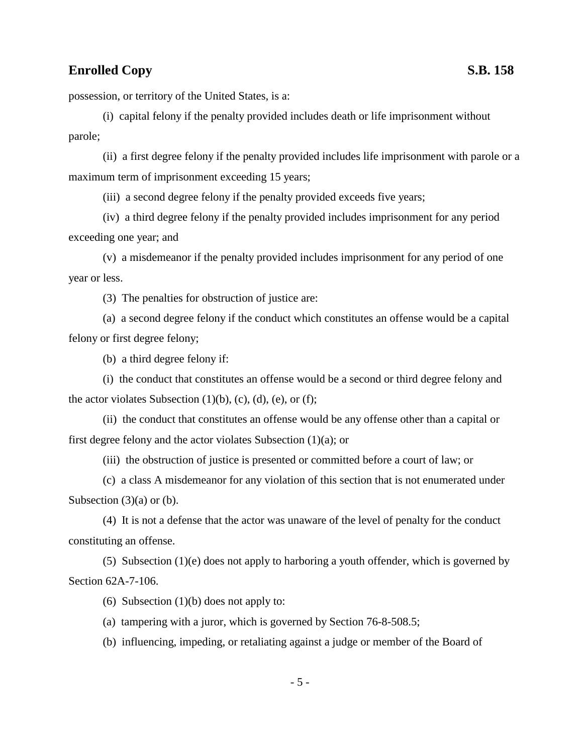# **Enrolled Copy** S.B. 158

possession, or territory of the United States, is a:

(i) capital felony if the penalty provided includes death or life imprisonment without parole;

(ii) a first degree felony if the penalty provided includes life imprisonment with parole or a maximum term of imprisonment exceeding 15 years;

(iii) a second degree felony if the penalty provided exceeds five years;

(iv) a third degree felony if the penalty provided includes imprisonment for any period exceeding one year; and

(v) a misdemeanor if the penalty provided includes imprisonment for any period of one year or less.

(3) The penalties for obstruction of justice are:

(a) a second degree felony if the conduct which constitutes an offense would be a capital felony or first degree felony;

(b) a third degree felony if:

(i) the conduct that constitutes an offense would be a second or third degree felony and the actor violates Subsection  $(1)(b)$ ,  $(c)$ ,  $(d)$ ,  $(e)$ , or  $(f)$ ;

(ii) the conduct that constitutes an offense would be any offense other than a capital or first degree felony and the actor violates Subsection (1)(a); or

(iii) the obstruction of justice is presented or committed before a court of law; or

(c) a class A misdemeanor for any violation of this section that is not enumerated under Subsection  $(3)(a)$  or  $(b)$ .

(4) It is not a defense that the actor was unaware of the level of penalty for the conduct constituting an offense.

(5) Subsection  $(1)(e)$  does not apply to harboring a youth offender, which is governed by Section 62A-7-106.

(6) Subsection  $(1)(b)$  does not apply to:

(a) tampering with a juror, which is governed by Section 76-8-508.5;

(b) influencing, impeding, or retaliating against a judge or member of the Board of